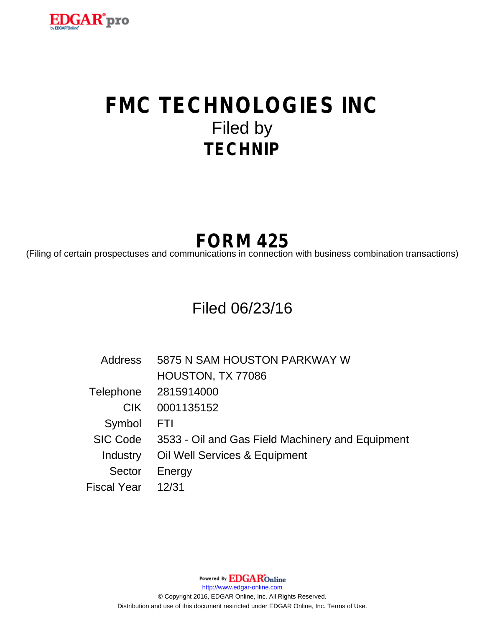

# **FMC TECHNOLOGIES INC** Filed by **TECHNIP**

# **FORM 425**

(Filing of certain prospectuses and communications in connection with business combination transactions)

# Filed 06/23/16

| <b>Address</b>  | 5875 N SAM HOUSTON PARKWAY W                     |
|-----------------|--------------------------------------------------|
|                 | HOUSTON, TX 77086                                |
|                 | Telephone 2815914000                             |
| <b>CIK</b>      | 0001135152                                       |
| Symbol          | <b>FTI</b>                                       |
| <b>SIC Code</b> | 3533 - Oil and Gas Field Machinery and Equipment |
| Industry        | Oil Well Services & Equipment                    |
| Sector          | Energy                                           |
| Fiscal Year     | 12/31                                            |

Powered By **EDGAR**Online

http://www.edgar-online.com

© Copyright 2016, EDGAR Online, Inc. All Rights Reserved. Distribution and use of this document restricted under EDGAR Online, Inc. Terms of Use.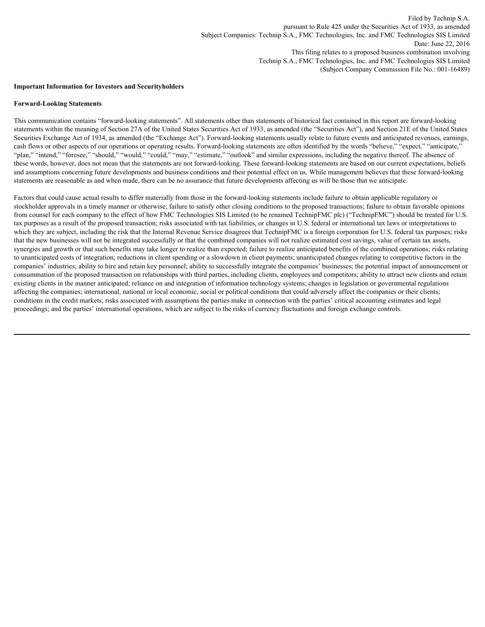# **Important Information for Investors and Securityholders**

# **Forward-Looking Statements**

This communication contains "forward-looking statements". All statements other than statements of historical fact contained in this report are forward-looking statements within the meaning of Section 27A of the United States Securities Act of 1933, as amended (the "Securities Act"), and Section 21E of the United States Securities Exchange Act of 1934, as amended (the "Exchange Act"). Forward-looking statements usually relate to future events and anticipated revenues, earnings, cash flows or other aspects of our operations or operating results. Forward-looking statements are often identified by the words "believe," "expect," "anticipate," "plan," "intend," "foresee," "should," "would," "could," "may," "estimate," "outlook" and similar expressions, including the negative thereof. The absence of these words, however, does not mean that the statements are not forward-looking. These forward-looking statements are based on our current expectations, beliefs and assumptions concerning future developments and business conditions and their potential effect on us. While management believes that these forward-looking statements are reasonable as and when made, there can be no assurance that future developments affecting us will be those that we anticipate.

Factors that could cause actual results to differ materially from those in the forward-looking statements include failure to obtain applicable regulatory or stockholder approvals in a timely manner or otherwise; failure to satisfy other closing conditions to the proposed transactions; failure to obtain favorable opinions from counsel for each company to the effect of how FMC Technologies SIS Limited (to be renamed TechnipFMC plc) ("TechnipFMC") should be treated for U.S. tax purposes as a result of the proposed transaction; risks associated with tax liabilities, or changes in U.S. federal or international tax laws or interpretations to which they are subject, including the risk that the Internal Revenue Service disagrees that TechnipFMC is a foreign corporation for U.S. federal tax purposes; risks that the new businesses will not be integrated successfully or that the combined companies will not realize estimated cost savings, value of certain tax assets, synergies and growth or that such benefits may take longer to realize than expected; failure to realize anticipated benefits of the combined operations; risks relating to unanticipated costs of integration; reductions in client spending or a slowdown in client payments; unanticipated changes relating to competitive factors in the companies' industries; ability to hire and retain key personnel; ability to successfully integrate the companies' businesses; the potential impact of announcement or consummation of the proposed transaction on relationships with third parties, including clients, employees and competitors; ability to attract new clients and retain existing clients in the manner anticipated; reliance on and integration of information technology systems; changes in legislation or governmental regulations affecting the companies; international, national or local economic, social or political conditions that could adversely affect the companies or their clients; conditions in the credit markets; risks associated with assumptions the parties make in connection with the parties' critical accounting estimates and legal proceedings; and the parties' international operations, which are subject to the risks of currency fluctuations and foreign exchange controls.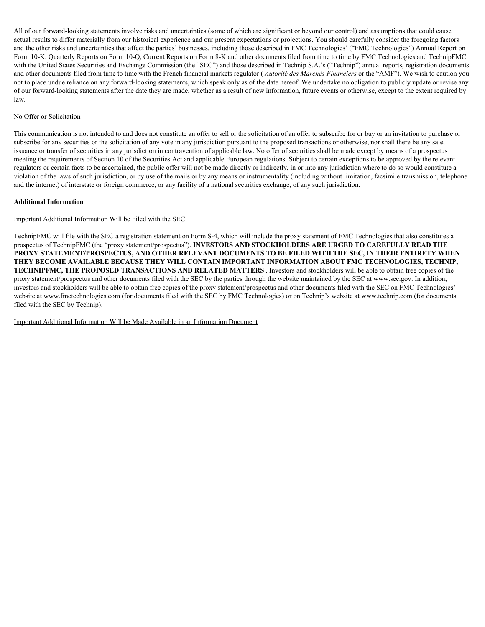All of our forward-looking statements involve risks and uncertainties (some of which are significant or beyond our control) and assumptions that could cause actual results to differ materially from our historical experience and our present expectations or projections. You should carefully consider the foregoing factors and the other risks and uncertainties that affect the parties' businesses, including those described in FMC Technologies' ("FMC Technologies") Annual Report on Form 10-K, Quarterly Reports on Form 10-Q, Current Reports on Form 8-K and other documents filed from time to time by FMC Technologies and TechnipFMC with the United States Securities and Exchange Commission (the "SEC") and those described in Technip S.A.'s ("Technip") annual reports, registration documents and other documents filed from time to time with the French financial markets regulator ( *Autorité des Marchés Financiers* or the "AMF"). We wish to caution you not to place undue reliance on any forward-looking statements, which speak only as of the date hereof. We undertake no obligation to publicly update or revise any of our forward-looking statements after the date they are made, whether as a result of new information, future events or otherwise, except to the extent required by law.

# No Offer or Solicitation

This communication is not intended to and does not constitute an offer to sell or the solicitation of an offer to subscribe for or buy or an invitation to purchase or subscribe for any securities or the solicitation of any vote in any jurisdiction pursuant to the proposed transactions or otherwise, nor shall there be any sale, issuance or transfer of securities in any jurisdiction in contravention of applicable law. No offer of securities shall be made except by means of a prospectus meeting the requirements of Section 10 of the Securities Act and applicable European regulations. Subject to certain exceptions to be approved by the relevant regulators or certain facts to be ascertained, the public offer will not be made directly or indirectly, in or into any jurisdiction where to do so would constitute a violation of the laws of such jurisdiction, or by use of the mails or by any means or instrumentality (including without limitation, facsimile transmission, telephone and the internet) of interstate or foreign commerce, or any facility of a national securities exchange, of any such jurisdiction.

# **Additional Information**

# Important Additional Information Will be Filed with the SEC

TechnipFMC will file with the SEC a registration statement on Form S-4, which will include the proxy statement of FMC Technologies that also constitutes a prospectus of TechnipFMC (the "proxy statement/prospectus"). **INVESTORS AND STOCKHOLDERS ARE URGED TO CAREFULLY READ THE PROXY STATEMENT/PROSPECTUS, AND OTHER RELEVANT DOCUMENTS TO BE FILED WITH THE SEC, IN THEIR ENTIRETY WHEN THEY BECOME AVAILABLE BECAUSE THEY WILL CONTAIN IMPORTANT INFORMATION ABOUT FMC TECHNOLOGIES, TECHNIP, TECHNIPFMC, THE PROPOSED TRANSACTIONS AND RELATED MATTERS** . Investors and stockholders will be able to obtain free copies of the proxy statement/prospectus and other documents filed with the SEC by the parties through the website maintained by the SEC at www.sec.gov. In addition, investors and stockholders will be able to obtain free copies of the proxy statement/prospectus and other documents filed with the SEC on FMC Technologies' website at www.fmctechnologies.com (for documents filed with the SEC by FMC Technologies) or on Technip's website at www.technip.com (for documents filed with the SEC by Technip).

Important Additional Information Will be Made Available in an Information Document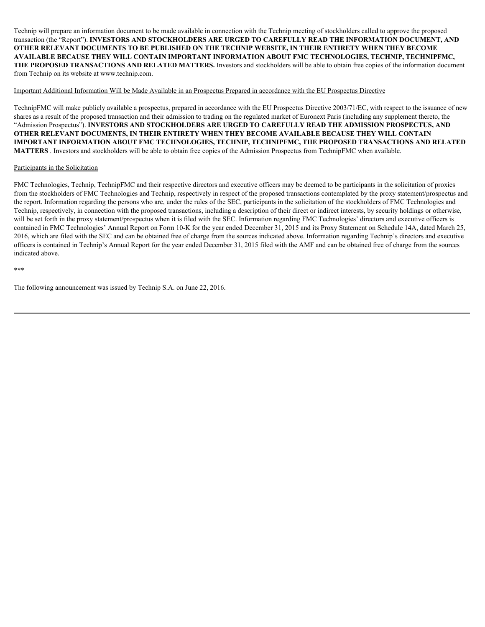Technip will prepare an information document to be made available in connection with the Technip meeting of stockholders called to approve the proposed transaction (the "Report"). **INVESTORS AND STOCKHOLDERS ARE URGED TO CAREFULLY READ THE INFORMATION DOCUMENT, AND OTHER RELEVANT DOCUMENTS TO BE PUBLISHED ON THE TECHNIP WEBSITE, IN THEIR ENTIRETY WHEN THEY BECOME AVAILABLE BECAUSE THEY WILL CONTAIN IMPORTANT INFORMATION ABOUT FMC TECHNOLOGIES, TECHNIP, TECHNIPFMC, THE PROPOSED TRANSACTIONS AND RELATED MATTERS.** Investors and stockholders will be able to obtain free copies of the information document from Technip on its website at www.technip.com.

# Important Additional Information Will be Made Available in an Prospectus Prepared in accordance with the EU Prospectus Directive

TechnipFMC will make publicly available a prospectus, prepared in accordance with the EU Prospectus Directive 2003/71/EC, with respect to the issuance of new shares as a result of the proposed transaction and their admission to trading on the regulated market of Euronext Paris (including any supplement thereto, the "Admission Prospectus"). **INVESTORS AND STOCKHOLDERS ARE URGED TO CAREFULLY READ THE ADMISSION PROSPECTUS, AND OTHER RELEVANT DOCUMENTS, IN THEIR ENTIRETY WHEN THEY BECOME AVAILABLE BECAUSE THEY WILL CONTAIN IMPORTANT INFORMATION ABOUT FMC TECHNOLOGIES, TECHNIP, TECHNIPFMC, THE PROPOSED TRANSACTIONS AND RELATED MATTERS** . Investors and stockholders will be able to obtain free copies of the Admission Prospectus from TechnipFMC when available.

# Participants in the Solicitation

FMC Technologies, Technip, TechnipFMC and their respective directors and executive officers may be deemed to be participants in the solicitation of proxies from the stockholders of FMC Technologies and Technip, respectively in respect of the proposed transactions contemplated by the proxy statement/prospectus and the report. Information regarding the persons who are, under the rules of the SEC, participants in the solicitation of the stockholders of FMC Technologies and Technip, respectively, in connection with the proposed transactions, including a description of their direct or indirect interests, by security holdings or otherwise, will be set forth in the proxy statement/prospectus when it is filed with the SEC. Information regarding FMC Technologies' directors and executive officers is contained in FMC Technologies' Annual Report on Form 10-K for the year ended December 31, 2015 and its Proxy Statement on Schedule 14A, dated March 25, 2016, which are filed with the SEC and can be obtained free of charge from the sources indicated above. Information regarding Technip's directors and executive officers is contained in Technip's Annual Report for the year ended December 31, 2015 filed with the AMF and can be obtained free of charge from the sources indicated above.

\*\*\*

The following announcement was issued by Technip S.A. on June 22, 2016.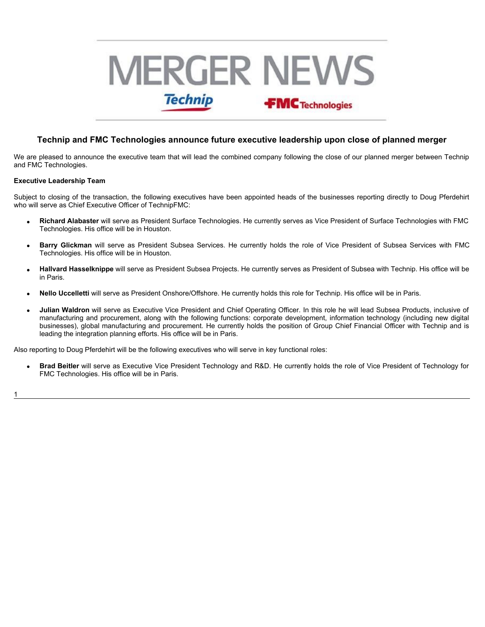# **FECT THE SET THE SET THE SET THE SET THE SET THE SET THE SET THE SET THE SET THE SET THE SET THE SET THE SET THE SET THE SET THE SET THE SET THE SET THE SET THE SET THE SET THE SET THE SET THE SET THE SET THE SET THE SET** WE THE METALE TO THE TREAT THE SUBSERVE CONDUCT THE SUBSERVE OF THE SUBSERVE OF THE SUBSERVE CONDUCT THE SUBSERVE OF THE SUBSERVE OF THE SUBSERVE OF THE SUBSERVE OF THE SUBSERVE OF THE SUBSERVE OF THE SUBSERVE OF THE SUBSE

# $\bf{r}$  rechnologies announce future executive leadership upon close of planned merger

We are pleased to announce the executive team that will lead the combined company following the close of our planned merger between Technip and FMC Technologies.

#### **Executive Leadership Team**

Subject to closing of the transaction, the following executives have been appointed heads of the businesses reporting directly to Doug Pferdehirt who will serve as Chief Executive Officer of TechnipFMC:

- · **Richard Alabaster** will serve as President Surface Technologies. He currently serves as Vice President of Surface Technologies with FMC Technologies. His office will be in Houston.
- Barry Glickman will serve as President Subsea Services. He currently holds the role of Vice President of Subsea Services with FMC Technologies. His office will be in Houston.
- Hallvard Hasselknippe will serve as President Subsea Projects. He currently serves as President of Subsea with Technip. His office will be in Paris.
- · **Nello Uccelletti** will serve as President Onshore/Offshore. He currently holds this role for Technip. His office will be in Paris.
- · **Julian Waldron** will serve as Executive Vice President and Chief Operating Officer. In this role he will lead Subsea Products, inclusive of manufacturing and procurement, along with the following functions: corporate development, information technology (including new digital businesses), global manufacturing and procurement. He currently holds the position of Group Chief Financial Officer with Technip and is leading the integration planning efforts. His office will be in Paris.

Also reporting to Doug Pferdehirt will be the following executives who will serve in key functional roles:

· **Brad Beitler** will serve as Executive Vice President Technology and R&D. He currently holds the role of Vice President of Technology for FMC Technologies. His office will be in Paris.

1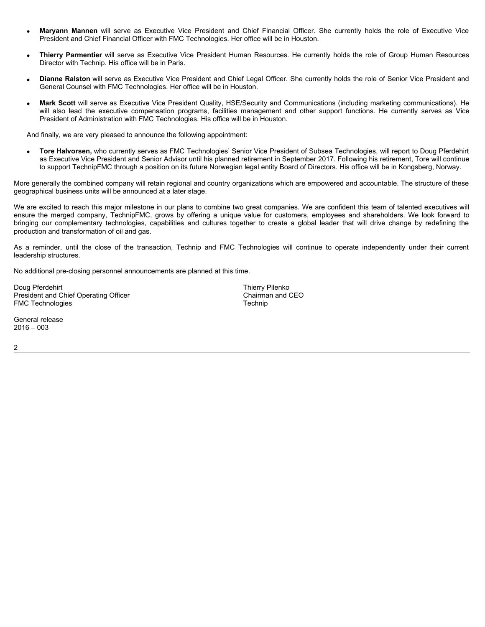- **Maryann Mannen** will serve as Executive Vice President and Chief Financial Officer. She currently holds the President and Chief Financial Officer with FMC Technologies. Her office will be in Houston.<br>• **Thierry Parmenti** Maryann Mannen will serve as Executive Vice President and Chief Financial Officer. She currently holds the role of Executive Vice will serve as Executive Vice President and Chief Financial Officer. She currently holds the role of Executive Vice<br>Financial Officer with FMC Technologies. Her office will be in Houston.<br>p. His office will be in Paris.<br>I s President and Chief Financial Officer with FMC Technologies. Her office will be in Houston.
- **Thierry Parmentier** will serve as Executive Director with Technip. His office will be in Paris.
- · **Dianne Ralston** will serve as Executive Vice President and Chief Legal Officer. She currently holds the role of Senior Vice President and General Counsel with FMC Technologies. Her office will be in Houston.
- vill serve as Executive Vice President and Chief Financial Officer. She currently holds the role of Executive Vice<br>Financial Officer with FMC Technologies. Her office will be in Houston.<br>Will serve as Executive Vice Presid · **Mark Scott** will serve as Executive Vice President Quality, HSE/Security and Communications (including marketing communications). He **Maryann Mannen** will serve as Executive Vice President and Chief Financial Officer. She currently holds the role of Executive Vice President and Chief Financial Officer. The currently holds the role of Executive Vice Pres President of Administration with FMC Technologies. His office will be in Houston.

And finally, we are very pleased to announce the following appointment:

· **Tore Halvorsen,** who currently serves as FMC Technologies' Senior Vice President of Subsea Technologies, will report to Doug Pferdehirt as Executive Vice President and Senior Advisor until his planned retirement in September 2017. Following his retirement, Tore will continue to support TechnipFMC through a position on its future Norwegian legal entity Board of Directors. His office will be in Kongsberg, Norway.

More generally the combined company will retain regional and country organizations which are empowered and accountable. The structure of these geographical business units will be announced at a later stage.

We are excited to reach this major milestone in our plans to combine two great companies. We are confident this team of talented executives will ensure Maryann Mannen will serve as Executive Vice President and Chief Financial Officer. She currently holds the role of Executive Vice President and Chief FMC rechnologies. Her office will be in Houston.<br>
• Thierry Parme **Maryann Mannen will serve as Executive** Vice President and Chief Financial Officer. She currently holds the riot of Executive Vice Theorem (and This Chief Technologies Her office will be in Houston.<br>
Thierry Parmentiary o production and transformation of oil and gas. Manyann Mannen will aerve as Executive Vice President and Childr Financial Officer. She currently holds the role of Executive Vice President and Officer with PMC Technologies. Her office will be in Houston,<br>Thierry Parment

leadership structures.

No additional pre-closing personnel announcements are planned at this time.

Doug Pferdehirt and Chief Operating Officer and Communication of the Thierry Pilenko Chairman and CEO President and Chief Operating Officer FMC Technologies Technic Contract of the Technic Technic Technic Technic

General release 2016 – 003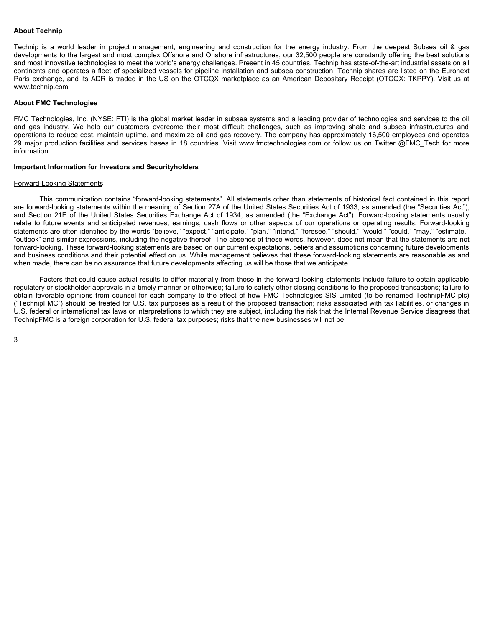# **About Technip**

About Technip<br>Technip is a world leader in project management, engineering and construction for the energy industry. From the deepest Subsea oil & gas<br>developments to the largest and most complex Offshore and Onshore infra developments to the largest and most complex Offshore and Onshore infrastructures, our 32,500 people are constantly offering the best solutions and most innovative technologies to meet the world's energy challenges. Present in 45 countries, Technip has state-of-the-art industrial assets on all continents and operates a fleet of specialized vessels for pipeline installation and subsea construction. Technip shares are listed on the Euronext Paris exchange, and its ADR is traded in the US on the OTCQX marketplace as an American Depositary Receipt (OTCQX: TKPPY). Visit us at www.technip.com About Technip<br>Technip is a world leader in project management, engineering and construction for the energy industry. From the deepest Subsea oil & gas<br>developments to the leagest and nots complex offshore and Onshore infra

# **About FMC Technologies**

FMC Technologies, Inc. (NYSE: FTI) is the global market leader in subsea systems and a leading provider of technologies and services to the oil operations to reduce cost, maintain uptime, and maximize oil and gas recovery. The company has approximately 16,500 employees and operates 29 major production facilities and services bases in 18 countries. Visit www.fmctechnologies.com or follow us on Twitter @FMC\_Tech for more information.

# **Important Information for Investors and Securityholders**

### Forward-Looking Statements

This communication contains "forward-looking statements". All statements other than statements of historical fact contained in this report are forward-looking statements within the meaning of Section 27A of the United States Securities Act of 1933, as amended (the "Securities Act"), About Technip<br>Technic is a world leader in project management, engineering and construction for the energy industry. From the despest Subseq oil & ges<br>Technic is a world leader in constrained State and Offence State (the w About Technip<br>
Neorio is a world leader in project management, engineering and construction for the energy inclustry, From the deceptre Subsets of a 8 gas-<br>
Technicals as world leader in project means the world's energy ch statements are often identified by the words "believe," "expect," "anticipate," "plan," "intend," "foresee," "should," "would," "could," "may," "estimate," "outlook" and similar expressions, including the negative thereof. The absence of these words, however, does not mean that the statements are not forward-looking. These forward-looking statements are based on our current expectations, beliefs and assumptions concerning future developments and business conditions and their potential effect on us. While management believes that these forward-looking statements are reasonable as and when made, there can be no assurance that future developments affecting us will be those that we anticipate.

Factors that could cause actual results to differ materially from those in the forward-looking statements include failure to obtain applicable regulatory or stockholder approvals in a timely manner or otherwise; failure to satisfy other closing conditions to the proposed transactions; failure to obtain favorable opinions from counsel for each company to the effect of how FMC Technologies SIS Limited (to be renamed TechnipFMC plc) ("TechnipFMC") should be treated for U.S. tax purposes as a result of the proposed transaction; risks associated with tax liabilities, or changes in U.S. federal or international tax laws or interpretations to which they are subject, including the risk that the Internal Revenue Service disagrees that TechnipFMC is a foreign corporation for U.S. federal tax purposes; risks that the new businesses will not be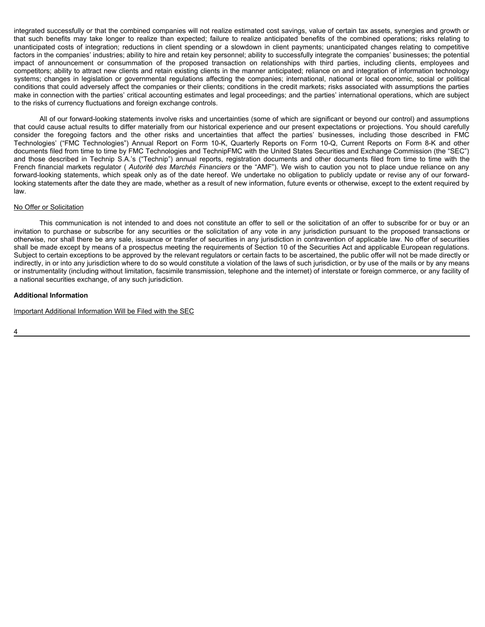integrated successfully or that the combined companies will not realize estimated cost savings, value of certain tax assets, synergies and growth or integrated successfully or that the combined companies will not realize estimated cost savings, value of certain tax assets, synergies and growth or<br>that such benefits may take longer to realize than expected; failure to r unanticipated costs of integration; reductions in client spending or a slowdown in client payments; unanticipated changes relating to competitive factors in the companies' industries; ability to hire and retain key personnel; ability to successfully integrate the companies' businesses; the potential integrated successfully or that the combined companies will not realize estimated cost savings, value of certain tax assets, synergies and growth or<br>that such benefits may take longer to realize than expected; failure to r competitors; ability to attract new clients and retain existing clients in the manner anticipated; reliance on and integration of information technology integrated successfully or that the combined companies will not realize estimated cost savings, value of certain tax assets, synergies and growth or<br>that such benefits may take longer to realize than expected; failure to r conditions that could adversely affect the companies or their clients; conditions in the credit markets; risks associated with assumptions the parties make in connection with the parties' critical accounting estimates and legal proceedings; and the parties' international operations, which are subject to the risks of currency fluctuations and foreign exchange controls. integrated successfully or that the combined companies will not realize estimated cost savings, value of certain tax assets, synengies and growth or<br>that such benefits may take longer to realize than expected; fallure to r integrated successfully or that the combined companies will not realize estimated cost savings, value of certain fax assets, synengies and growth or the and benefit may belongent to realize than expected fallure to realize integrated successfully or that the combined companies will not realize estimated cost savings, value of certain tax assets, synergies and growth or<br>that such benefits may take longer to realize than expected; failing to r integrated successfully or that the consistent companies will not realize estimated cost saving value of entail has easels, synenges and growth or<br>unramicipate costs of integration, refusable to their spectration or a slow

All of our forward-looking statements involve risks and uncertainties (some of which are significant or beyond our control) and assumptions that could cause actual results to differ materially from our historical experience and our present expectations or projections. You should carefully documents filed from time to time by FMC Technologies and TechnipFMC with the United States Securities and Exchange Commission (the "SEC") French financial markets regulator (*Autorité des Marchés Financiers* or the "AMF"). We wish to caution you not to place undue reliance on any forward-looking statements, which speak only as of the date hereof. We undertake no obligation to publicly update or revise any of our forwardlooking statements after the date they are made, whether as a result of new information, future events or otherwise, except to the extent required by law.

# No Offer or Solicitation

This communication is not intended to and does not constitute an offer to sell or the solicitation of an offer to subscribe for or buy or an otherwise, nor shall there be any sale, issuance or transfer of securities in any jurisdiction in contravention of applicable law. No offer of securities shall be made except by means of a prospectus meeting the requirements of Section 10 of the Securities Act and applicable European regulations. Subject to certain exceptions to be approved by the relevant regulators or certain facts to be ascertained, the public offer will not be made directly or indirectly, in or into any jurisdiction where to do so would constitute a violation of the laws of such jurisdiction, or by use of the mails or by any means or instrumentality (including without limitation, facsimile transmission, telephone and the internet) of interstate or foreign commerce, or any facility of a national securities exchange, of any such jurisdiction.

# **Additional Information**

Important Additional Information Will be Filed with the SEC

4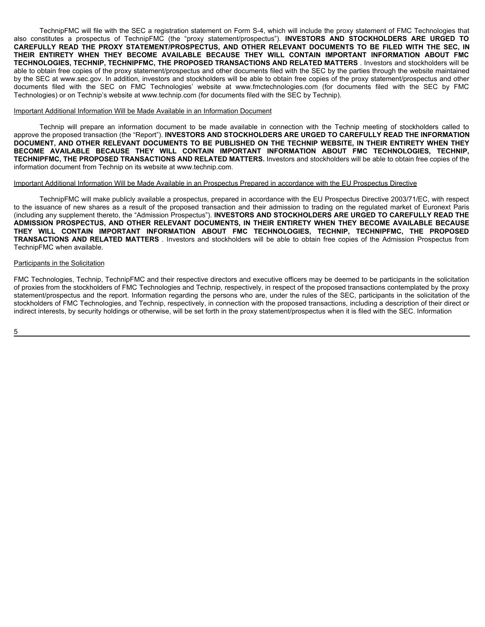TechnipFMC will file with the SEC a registration statement on Form S-4, which will include the proxy statement of FMC Technologies that also constitutes a prospectus of TechnipFMC (the "proxy statement/prospectus"). INVEST TechnipFMC will file with the SEC a registration statement on Form S-4, which will include the proxy statement of FMC Technologies that<br>also constitutes a prospectus of TechnipFMC (the "proxy statement/prospectus"). **INVES** e proxy statement of FMC Technologies that<br> **AND STOCKHOLDERS ARE URGED TO**<br> **MENTS TO BE FILED WITH THE SEC, IN**<br> **MPORTANT INFORMATION ABOUT FMC**<br> **ATTERS** . Investors and stockholders will be<br>
by the parties through the **STOCKHOLDERS ARE URGED TO<br>
STOCKHOLDERS ARE URGED TO<br>
STO BE FILED WITH THE SEC, IN<br>
TANT INFORMATION ABOUT FMC<br>
RS** . Investors and stockholders will be<br>
parties through the website maintained<br>
proxy statement/prospectus **Fechnologies that<br>
<b>ARE URGED TO<br>
<b>ARE URGED TO**<br> **MITH THE SEC, IN**<br> **ABOUT FMC**<br>
website maintained<br>
spectus and other<br>
the SEC by FMC nologies that<br>**URGED TO<br>HE SEC, IN<br>BOUT FMC**<br>blders will be<br>e maintained<br>us and other<br>EC by FMC **TO** CAREFULLY READ THE PROXY STATEMENT/PROSPECTUS, AND OTHER RELEVANT DOCUMENTS TO BE FILED WITH THE SEC, IN ipFMC will file with the SEC a registration statement on Form S-4, which will include the proxy statement of FMC<br> **READ THE PROXY STATEMENT/PROSPECTUS, AND OTHER RELEVANT DOCUMENTS TO BE FILED V<br>
<b>READ THE PROXY STATEMENT/** will file with the SEC a registration statement on Form S-4, which will include the proxy statement of FMC Tecospectus of TechnipFMC (the "proxy statement/prospectus"). **INVESTORS AND STOCKHOLDERS ARE**<br>THE PROXY STATEMENT/ e with the SEC a registration statement on Form S-4, which will include the proxy statement of FMC Technologies<br>titus of TechnipFMC (the "proxy statement/prospectus"). **INVESTORS AND STOCKHOLDERS ARE URGET**<br>**PROXY STATEMEN** e SEC a registration statement on Form S-4, which will include the proxy statement of FMC Technologies that FechnipFMC (the "proxy statement/prospectus"). **INVESTORS AND STOCKHOLDERS ARE URGED TO STATEMENT/PROSPECTUS, AND** on Form S-4, which will include the proxy statement of FMC Technologies that<br>ment/prospectus"). **INVESTORS AND STOCKHOLDERS ARE URGED TO**<br>**AND OTHER RELEVANT DOCUMENTS TO BE FILED WITH THE SEC, IN<br>AUSE THEY WILL CONTAIN IM** From S-4, which will include the proxy statement of FMC Technologies that<br>prospectus"). **INVESTORS AND STOCKHOLDERS ARE URGED TO**<br>**OTHER RELEVANT DOCUMENTS TO BE FILED WITH THE SEC, IN**<br>**THEY WILL CONTAIN IMPORTANT INFORMA** which will include the proxy statement of FMC Technologies that<br>us"). **INVESTORS AND STOCKHOLDERS ARE URGED TO**<br>**RELEVANT DOCUMENTS TO BE FILED WITH THE SEC, IN<br>WILL CONTAIN IMPORTANT INFORMATION ABOUT FMC<br>is AND RELATED M** lude the proxy statement of FMC Technologies that<br> **DORS AND STOCKHOLDERS ARE URGED TO**<br> **DOCUMENTS TO BE FILED WITH THE SEC, IN<br>
AIN IMPORTANT INFORMATION ABOUT FMC<br>
TED MATTERS** . Investors and stockholders will be<br>
SEC statement of FMC Technologies that<br> **TO BE FILED WITH THE SEC, IN<br>
<b>TO BE FILED WITH THE SEC, IN**<br> **TO BE FILED WITH THE SEC, IN**<br> **TO INCORDITY THE SEC, IN**<br>
Investors and stockholders will be<br>
rities through the website ment of FMC Technologies that<br>**KHOLDERS ARE URGED TO**<br>**BE FILED WITH THE SEC, IN**<br>**INFORMATION ABOUT FMC**<br>vestors and stockholders will be<br>through the website maintained<br>statement/prospectus and other<br>ified with the SEC by **EXECUTE:**<br> **FILED WITH THE SEC, IN<br>
<b>FILED WITH THE SEC, IN**<br> **ORMATION ABOUT FMC**<br>
ors and stockholders will be<br>
bugh the website maintained<br>
ement/prospectus and other<br>
ed with the SEC by FMC **IC Technologies that**<br> **WITH THE SEC, IN<br>
<b>WITH THE SEC, IN**<br> **ION ABOUT FMC**<br>
stockholders will be<br>
vebsite maintained<br>
prospectus and other<br>
the SEC by FMC **hnologies that<br>
<b>URGED TO**<br> **THE SEC, IN<br>
ABOUT FMC**<br>
ble maintained<br>
tus and other<br>
FEC by FMC **SEC, IN<br>SEC, IN<br>SEC, IN<br>IT FMC**<br>swill be<br>aintained<br>ond other<br>by FMC **IN** TechnipFMC will file with the SEC a registration statement on Form S-4, which will include the proxy states a prospectus of TechnipFMC (the "proxy statement/prospectus"). **INVESTORS AND STOC**<br>**CAREFULLY READ THE PROXY STAT** TechnipFMC will file with the SEC a registration statement on Form S-4, which will include the proxy statement of FM<br>
Institutes a prospectus of TechnipFMC (the "proxy statement/prospectus"). **INVESTORS AND STOCKHOLDERS**<br> Will file with the SEC a registration statement on Form S-4, which will include the proxy statement of FMC Techning Process of TechningFMC (the "proxy statement/prospectus"). **INVESTORS AND STOCKHOLDERS ARE I**<br> **WHEN THEY** with the SEC a registration statement on Form S-4, which will include the proxy statement of FMC Technologies<br> **THEORY STATEMENT/PROSPECTUS, AND OTHER RELEVANT DOCUMENTS TO BE FILED WITH THE SEINCT PROSPECTUS, AND OTHER RE** THEIR ENTIRETY WHEN THEY BECOME AVAILABLE BECAUSE THEY WILL CONTAIN IMPORTANT INFORMATION ABOUT FMC gistration statement on Form S-4, which will include the proxy statement of FMC Technologies that C (the "proxy statement/prospectus"). **INVESTORS AND STOCKHOLDERS ARE URGED TO** (the "proxy statement/prospectus"). **INVESTO** ment on Form S-4, which will include the proxy statement of FMC Technologies that<br>statement/prospectus"). **INVESTORS AND STOCKHOLDERS ARE URGED TO**<br>**STOCK TO THER RELEVANT DOCUMENTS TO BE FILED WITH THE SEC, IN**<br>**BECAUSE T** m S-4, which will include the proxy statement of FMC Technologies that rospectus"). **INVESTORS AND STOCKHOLDERS ARE URGED TO JTHER RELEVANT DOCUMENTS TO BE FILED WITH THE SEC, IN THEY WILL CONTAIN IMPORTANT INFORMATION ABO** which will include the proxy statement of FMC Technologies that us"). **INVESTORS AND STOCKHOLDERS ARE URGED TO RELEVANT DOCUMENTS TO BE FILED WITH THE SEC, IN WILL CONTAIN IMPORTANT INFORMATION ABOUT FMC SAND RELATED MATTE** will include the proxy statement of FMC Technologies that<br>**NVESTORS AND STOCKHOLDERS ARE URGED TO**<br>**CONTAIN IMPORTANT INFORMATION ABOUT FMC**<br>**CONTAIN IMPORTANT INFORMATION ABOUT FMC**<br>**RELATED MATTERS** . Investors and stock the proxy statement of FMC Technologies that<br> **AND STOCKHOLDERS ARE URGED TO**<br> **UMENTS TO BE FILED WITH THE SEC, IN**<br> **IMPORTANT INFORMATION ABOUT FMC**<br> **IMATTERS** . Investors and stockholders will be<br>
by the parties throu ment of FMC Technologies that<br>**INFORMATION ARE URGED TO**<br>**INFORMATION ABOUT FMC**<br>vestors and stockholders will be<br>through the website maintained<br>statement/prospectus and other<br>filed with the SEC by FMC **Ahnologies that<br>
<b>LIRGED TO<br>
THE SEC, IN<br>
ABOUT FMC**<br>
holders will be<br>
ite maintained<br>
ctus and other<br>
SEC by FMC **FMC TECHNOLOGIES, TECHNIP, TECHNIPFMC, THE PROPOSED TRANSACTIONS AND RELATED MATTERS** . Investors and stockholders will be able to obtain free copies of the proxy statement/prospectus and other documents filed with the SEC by the parties through the website maintained by the SEC at www.sec.gov. In addition, investors and stockholders will be able to obtain free copies of the proxy statement/prospectus and other documents filed with the SEC by FMC documents filed with the SEC by FMC TechnipFMC will file with the SEC a registration statement on Form S-4, which will include the proxy statement of FMC Technologies that<br>also constitutes a prospectus of TechnipFMC (the "proxy statement/prospectus"). INVEST Technologies) or on Technip's website at www.technip.com (for documents filed with the SEC by Technip). Technip FMC will file with the SEC a registration statement on Form S-4, which will include the proxy statement of FMC Technologies that substantines a prospective (the "proxy statement/prospectus"). INVESTORS AND DTHER RE TechnipFMC will file with the SEC a registration statement on Form S-4, which will include the proxy statement<br> **BECOMETHENT READ THE PROXY STATEMENT/PROSPECTUS, AND OTHER RELEVANT DOCUMERTS.**<br> **CAREFULLY READ THE PROXY ST** hnipFMC will file with the SEC a registration statement on Form S-4, which will include the proxy statement of FMC Teutes a prospectus of TechnipFMC (the "proxy statement/prospectus"). **INVESTORS AND STOCKHOLDERS ARE AND S** ile with the SEC a registration statement on Form S-4, which will include the proxy statement of FMC Technologies the<br>the of Technologies of Technologies (the "proxy statement/prospectus"). INVESTORS AND STOCKHOLDERS ARE U EC a registration statement on Form S-4, which will include the proxy statement of FMC Technologies that<br>hnipFMC (the "proxy statement/prospectus"). **INVESTORS AND STOCKHOLDERS ARE URGED TO**<br>**THEMENT/PROSPECTUS, AND OTHER** on statement on Form S-4, which will include the proxy statement of FMC Technologies that "proxy statement/prospectus"). INVESTORS AND STOCKHOLDERS ARE URGED TO SPECTUS, AND OTHER RELEVANT DOCUMENTS TO BE FILED WITH THE SE t on Form S-4, which will include the proxy statement of FMC Technologies that<br>ementifyrospectus"). INVESTORS AND STOCKHOLDERS ARE URGED TO<br>AND OTHER RELEVANT DOCUMENTS TO BE FILED WITH THE SEC, IN<br>AUSE THEY WILL CONTAIN I which will include the proxy statement of FMC Technologies that<br>us"). **INVESTORS AND STOCKHOLDERS ARE URGED TO**<br>**RELEVANT DOCUMENTS TO BE FILED WITH THE SEC, IN<br>WILL CONTAIN IMPORTANT INFORMATION ABOUT FMC<br>SAND RELATED MAT** the proxy statement of FMC Technologies that<br> **S AND STOCKHOLDERS ARE URGED TO**<br> **CUMENTS TO BE FILED WITH THE SEC, IN**<br> **IMPORTANT INFORMATION ABOUT FMC**<br> **MATTERS** . Investors and stockholders will be<br>
C by the parties t **FIGURE 1997 SETTLE SETTLE CONSTRANT SETTLE SETTLED WITH THE SEC, IN<br>
<b>FIGURE THE SEC, IN**<br> **FIGURE THE SEC, IN**<br> **EXECUTE THE SEC, IN**<br> **FIGURE THE SEC INCITENCY**<br> **FIGURE THE WIGHT AND SETTLE SETTLEM**<br> **FIGURE THE SEC BY** nent of FMC Technologies that<br> **HOLDERS ARE URGED TO**<br> **TECHLED WITH THE SEC, IN**<br> **NFORMATION ABOUT FMC**<br>
estors and stockholders will be<br>
through the website maintained<br>
tatement/prospectus and other<br>
filed with the SEC TechnipFMC will file with the SEC a registration statement on Form S-4, which will include the proxy statement<br> **ADMISSION DRIGHTS INTO THE TOWEN CULTER TOWER SIGN (THE TOWER TOWERS AND STOCKHOON STATEME ENTIRENT READ STOC** TechnipFMC will file with the SEC a registration statement on Form S-4, which will include the proxy states.<br>CAREFULLY READ THE PROXY STATEMENT/PROSPECTUS, AND OTHER RELEVANT DOCUMENTS TO THETE ENTIRENT FINITE CONCILE THE TechnipFMC will file with the SEC a registration statement on Form S-4, which will include the proxy statement<br>
HILLY READ THE PROXY STATEMENT/PROSPECTUS, AND OTHER RELEVANT DOCULMENTS TO BE FINITENT WHEN THE PROXY STATEME e with the SEC a registration statement on Form S-4, which will include the proxy statement of FMC Technologies that<br> **IMPORTANT TECHNIFIMORY** (the "proxy statement/prospectus"). INVESTORS AND STOCKHOLOERS ARE URGED TO<br> **T** a registration statement on Form S-4, which will include the proxy statement of FMC Technologies that<br>**INENT/PROSPECTUS, AND OTHER RELEVANT DOCUMENTS TO BE FILED WITH THE SEC, IN<br>
ME AVAILABLE BECAUSE THEY WILL CONTAIN IMP** ement on Form S-4, which will include the proxy statement of FMC Technologies that<br> **ABOUT TIUS, AND OTHER RELEVANT DOCUMENTS TO BE FILED TO WITH THE SEC, IN<br>
TEC, AND OTHER RELEVANT DOCUMENTS TO BE FILED WITH THE SEC, IN<br>** Form S-4, which will include the proxy statement of FMC Technologies that<br>
nt/prospectus"). INVESTORS AND STOCKHOLDERS ARE URGED TO<br>
DITHER RELEVANT DOCUMENTS TO BE FILED MITH THE SEC, IN<br>
BE THEY WILL CONTAIN IMPORTANT IN S-4, which will include the proxy statement of FMC Technologies that<br>pectus"). INVESTORS AND STOCKHOLDERS ARE URGED TO<br>JER RELEVANT DOCUMENTS TO BE FILED WITH THE SEC, IN<br>EY WILL CONTAIN IMPORTANT INFORMATION ABOUT FMC<br>INC e the proxy statement of FMC Technologies that<br> **TS AND STOCKHOLDERS ARE URGED TO**<br> **TOLOMENTS TO BE FILED WITH THE SEC, IN**<br> **DIMATTERS** . Investors and stockholders will be<br>
EC by the parties through the website maintain statement of FMC Technologies that<br> **TOCKHOLDERS ARE URGED TO**<br> **TO BE FILED WITH THE SEC, IN**<br> **TO BE FILED WITH THE SEC, IN**<br> **TO BE FILED WITH THE SEC, IN**<br> **TORING TO BE THE SEC WITH THE SEC INC**<br>
Therefory statement/p Technologies that<br> **ARE URGED TO<br>
VITH THE SEC, IN<br>
ON ABOUT FMC**<br>
stockholders will be<br>
website maintained<br>
ospectus and other<br>
the SEC by FMC<br>
ckholders called to<br> **HE INFORMATION<br>
ETY WHEN THEY<br>
DGIES, TECHNIP,<br>
in free** TechnipFMC will file with the SEC a registration statement on Form S-4, which will include the proxy statement of **TCARNSCR AND STOCKHOLDES**<br> **TRANSACTIONS AND STATEMEY (Inc.** "process are the COME COMENDATIONS (INCREDIBY distration statement on Form S-4, which will include the proxy statement of FMC Technologies that<br>
(hm <sup>a</sup>poxy statement/prospectus). INVESTORS AND STOCKHOLDERS ARE URGENT<br>
MYMLABLE BECAUSE THEY WILL CONTAIN IMPORTANT INFO

# Important Additional Information Will be Made Available in an Information Document

approve the proposed transaction (the "Report"). **INVESTORS AND STOCKHOLDERS ARE URGED TO CAREFULLY READ THE INFORMATION** <code>DOCUMENT, AND OTHER RELEVANT DOCUMENTS TO BE PUBLISHED ON THE TECHNIP WEBSITE, IN THEIR ENTIRETY WHEN</code> **THEY** WILL CONTAIN IMPORTANT INFORMATION ABOUT FMC TECHNOLOGIES, TECHNIP, **TECHNIPFMC, THE PROPOSED TRANSACTIONS AND RELATED MATTERS. Investors and stockholders will be able to obtain free copies of the** information document from Technip on its website at www.technip.com.

# Important Additional Information Will be Made Available in an Prospectus Prepared in accordance with the EU Prospectus Directive

TechnipFMC will make publicly available a prospectus, prepared in accordance with the EU Prospectus Directive 2003/71/EC, with respect to the issuance of new shares as a result of the proposed transaction and their admission to trading on the regulated market of Euronext Paris (including any supplement thereto, the "Admission Prospectus"). INVESTORS AND STOCKHOLDERS ARE URGED TO CAREFULLY READ **THE PROSPECTUS, AND OTHER RELEVANT DOCUMENTS, IN THEIR ENTIRETY WHEN THEY BECOME AVAILABLE BECAUSE** CONTAIN IMPORTANT INFORMATION ABOUT FMC TECHNOLOGIES, TECHNIP, TECHNIPFMC, THE PROPOSED **AND RELATED MATTERS** TechnipFMC when available.

# Participants in the Solicitation

FMC Technologies, Technip, TechnipFMC and their respective directors and executive officers may be deemed to be participants in the solicitation of proxies from the stockholders of FMC Technologies and Technip, respectively, in respect of the proposed transactions contemplated by the proxy statement/prospectus and the report. Information regarding the persons who are, under the rules of the SEC, participants in the solicitation of the stockholders of FMC Technologies, and Technip, respectively, in connection with the proposed transactions, including a description of their direct or indirect interests, by security holdings or otherwise, will be set forth in the proxy statement/prospectus when it is filed with the SEC. Information